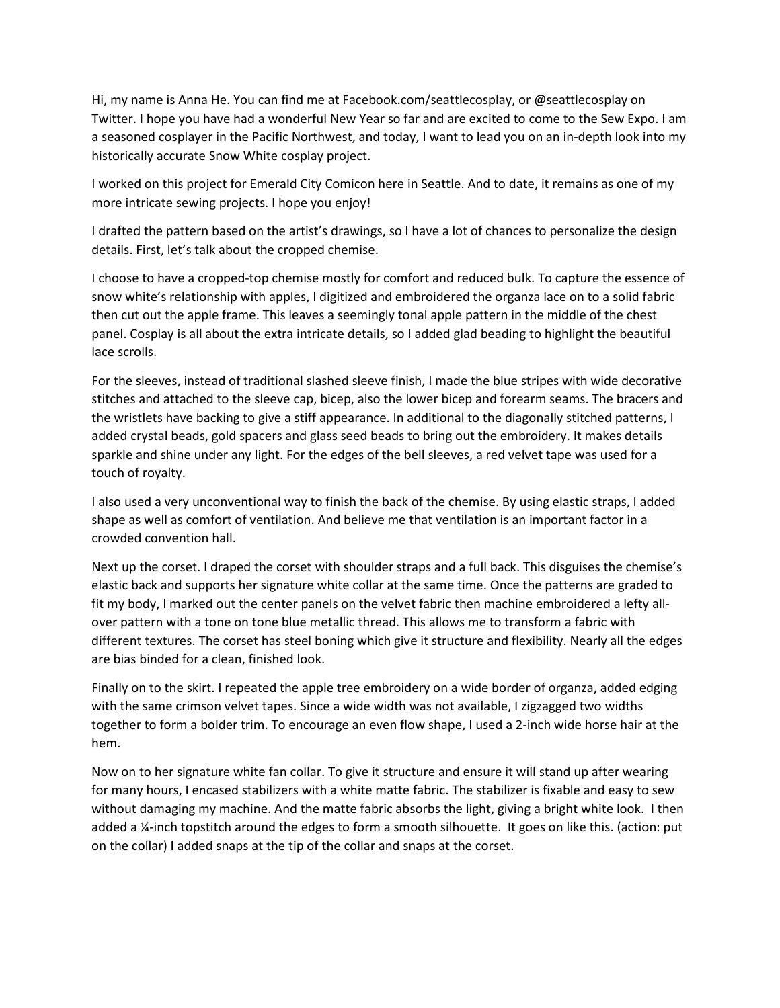Hi, my name is Anna He. You can find me at Facebook.com/seattlecosplay, or @seattlecosplay on Twitter. I hope you have had a wonderful New Year so far and are excited to come to the Sew Expo. I am a seasoned cosplayer in the Pacific Northwest, and today, I want to lead you on an in-depth look into my historically accurate Snow White cosplay project.

I worked on this project for Emerald City Comicon here in Seattle. And to date, it remains as one of my more intricate sewing projects. I hope you enjoy!

I drafted the pattern based on the artist's drawings, so I have a lot of chances to personalize the design details. First, let's talk about the cropped chemise.

I choose to have a cropped-top chemise mostly for comfort and reduced bulk. To capture the essence of snow white's relationship with apples, I digitized and embroidered the organza lace on to a solid fabric then cut out the apple frame. This leaves a seemingly tonal apple pattern in the middle of the chest panel. Cosplay is all about the extra intricate details, so I added glad beading to highlight the beautiful lace scrolls.

For the sleeves, instead of traditional slashed sleeve finish, I made the blue stripes with wide decorative stitches and attached to the sleeve cap, bicep, also the lower bicep and forearm seams. The bracers and the wristlets have backing to give a stiff appearance. In additional to the diagonally stitched patterns, I added crystal beads, gold spacers and glass seed beads to bring out the embroidery. It makes details sparkle and shine under any light. For the edges of the bell sleeves, a red velvet tape was used for a touch of royalty.

I also used a very unconventional way to finish the back of the chemise. By using elastic straps, I added shape as well as comfort of ventilation. And believe me that ventilation is an important factor in a crowded convention hall.

Next up the corset. I draped the corset with shoulder straps and a full back. This disguises the chemise's elastic back and supports her signature white collar at the same time. Once the patterns are graded to fit my body, I marked out the center panels on the velvet fabric then machine embroidered a lefty allover pattern with a tone on tone blue metallic thread. This allows me to transform a fabric with different textures. The corset has steel boning which give it structure and flexibility. Nearly all the edges are bias binded for a clean, finished look.

Finally on to the skirt. I repeated the apple tree embroidery on a wide border of organza, added edging with the same crimson velvet tapes. Since a wide width was not available, I zigzagged two widths together to form a bolder trim. To encourage an even flow shape, I used a 2-inch wide horse hair at the hem.

Now on to her signature white fan collar. To give it structure and ensure it will stand up after wearing for many hours, I encased stabilizers with a white matte fabric. The stabilizer is fixable and easy to sew without damaging my machine. And the matte fabric absorbs the light, giving a bright white look. I then added a ¼-inch topstitch around the edges to form a smooth silhouette. It goes on like this. (action: put on the collar) I added snaps at the tip of the collar and snaps at the corset.